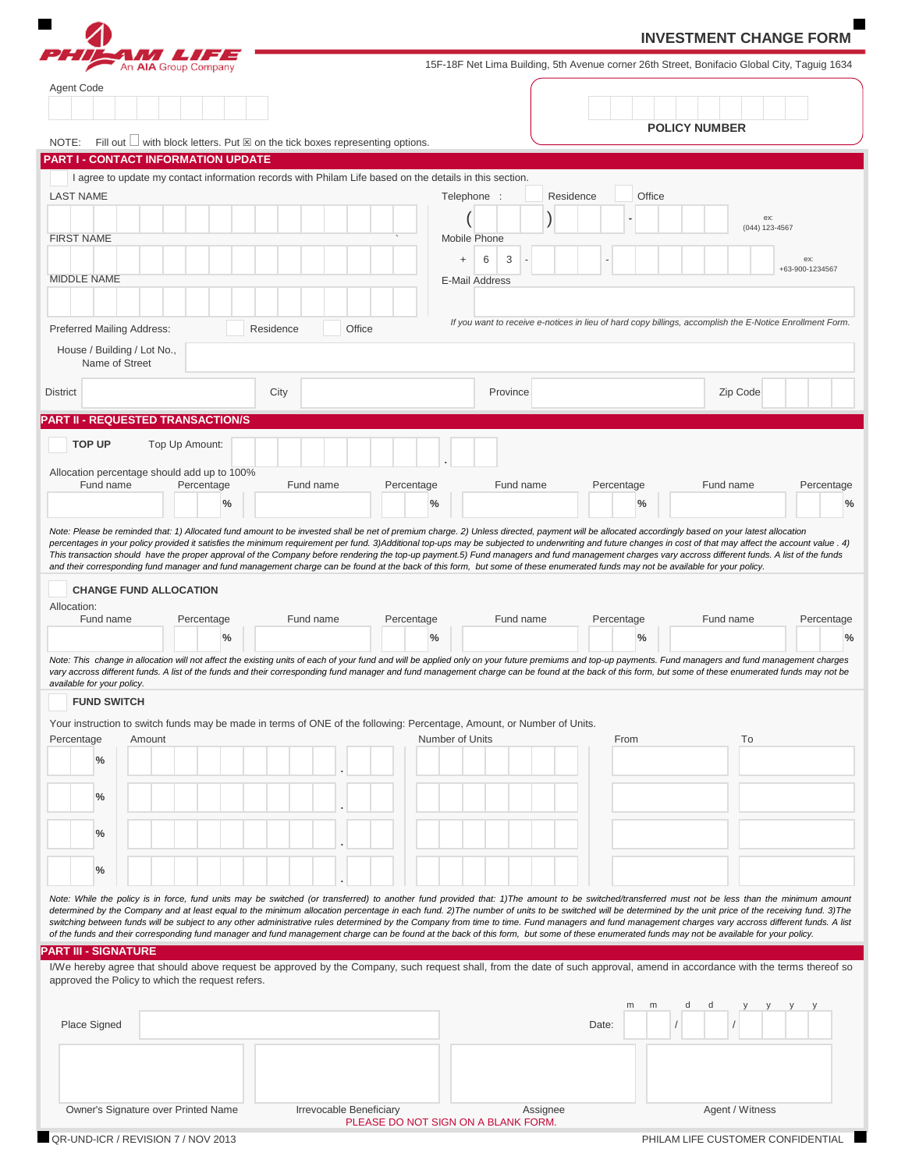|                                                                                                                                                                                                                                                                                                                                                                                                                                                                                                                                                                                                                                                                                                                                                                                                                                                                                                                                                                                                                                                                                                                                                                                                                                                                                                                                                                                                                                                                                                                                                                                                                                                                                                                |        |                                |      |           |           |                         |            |                 |                       |                                                                                                                                                                                              |          |           |       |            | <b>INVESTMENT CHANGE FORM</b> |                      |   |           |                 |                        |            |
|----------------------------------------------------------------------------------------------------------------------------------------------------------------------------------------------------------------------------------------------------------------------------------------------------------------------------------------------------------------------------------------------------------------------------------------------------------------------------------------------------------------------------------------------------------------------------------------------------------------------------------------------------------------------------------------------------------------------------------------------------------------------------------------------------------------------------------------------------------------------------------------------------------------------------------------------------------------------------------------------------------------------------------------------------------------------------------------------------------------------------------------------------------------------------------------------------------------------------------------------------------------------------------------------------------------------------------------------------------------------------------------------------------------------------------------------------------------------------------------------------------------------------------------------------------------------------------------------------------------------------------------------------------------------------------------------------------------|--------|--------------------------------|------|-----------|-----------|-------------------------|------------|-----------------|-----------------------|----------------------------------------------------------------------------------------------------------------------------------------------------------------------------------------------|----------|-----------|-------|------------|-------------------------------|----------------------|---|-----------|-----------------|------------------------|------------|
|                                                                                                                                                                                                                                                                                                                                                                                                                                                                                                                                                                                                                                                                                                                                                                                                                                                                                                                                                                                                                                                                                                                                                                                                                                                                                                                                                                                                                                                                                                                                                                                                                                                                                                                |        | 7 LIFE<br>An AIA Group Company |      |           |           |                         |            |                 |                       | 15F-18F Net Lima Building, 5th Avenue corner 26th Street, Bonifacio Global City, Taguig 1634                                                                                                 |          |           |       |            |                               |                      |   |           |                 |                        |            |
| Agent Code                                                                                                                                                                                                                                                                                                                                                                                                                                                                                                                                                                                                                                                                                                                                                                                                                                                                                                                                                                                                                                                                                                                                                                                                                                                                                                                                                                                                                                                                                                                                                                                                                                                                                                     |        |                                |      |           |           |                         |            |                 |                       |                                                                                                                                                                                              |          |           |       |            |                               |                      |   |           |                 |                        |            |
|                                                                                                                                                                                                                                                                                                                                                                                                                                                                                                                                                                                                                                                                                                                                                                                                                                                                                                                                                                                                                                                                                                                                                                                                                                                                                                                                                                                                                                                                                                                                                                                                                                                                                                                |        |                                |      |           |           |                         |            |                 |                       |                                                                                                                                                                                              |          |           |       |            |                               | <b>POLICY NUMBER</b> |   |           |                 |                        |            |
| Fill out $\Box$ with block letters. Put $\boxtimes$ on the tick boxes representing options.<br>NOTE:                                                                                                                                                                                                                                                                                                                                                                                                                                                                                                                                                                                                                                                                                                                                                                                                                                                                                                                                                                                                                                                                                                                                                                                                                                                                                                                                                                                                                                                                                                                                                                                                           |        |                                |      |           |           |                         |            |                 |                       |                                                                                                                                                                                              |          |           |       |            |                               |                      |   |           |                 |                        |            |
| PART I - CONTACT INFORMATION UPDATE<br>I agree to update my contact information records with Philam Life based on the details in this section.                                                                                                                                                                                                                                                                                                                                                                                                                                                                                                                                                                                                                                                                                                                                                                                                                                                                                                                                                                                                                                                                                                                                                                                                                                                                                                                                                                                                                                                                                                                                                                 |        |                                |      |           |           |                         |            |                 |                       |                                                                                                                                                                                              |          |           |       |            |                               |                      |   |           |                 |                        |            |
| <b>LAST NAME</b>                                                                                                                                                                                                                                                                                                                                                                                                                                                                                                                                                                                                                                                                                                                                                                                                                                                                                                                                                                                                                                                                                                                                                                                                                                                                                                                                                                                                                                                                                                                                                                                                                                                                                               |        |                                |      |           |           |                         |            |                 | Telephone :           |                                                                                                                                                                                              |          | Residence |       |            | Office                        |                      |   |           |                 |                        |            |
|                                                                                                                                                                                                                                                                                                                                                                                                                                                                                                                                                                                                                                                                                                                                                                                                                                                                                                                                                                                                                                                                                                                                                                                                                                                                                                                                                                                                                                                                                                                                                                                                                                                                                                                |        |                                |      |           |           |                         |            |                 |                       |                                                                                                                                                                                              |          |           |       |            |                               |                      |   |           | ex:             |                        |            |
| <b>FIRST NAME</b>                                                                                                                                                                                                                                                                                                                                                                                                                                                                                                                                                                                                                                                                                                                                                                                                                                                                                                                                                                                                                                                                                                                                                                                                                                                                                                                                                                                                                                                                                                                                                                                                                                                                                              |        |                                |      |           |           |                         |            |                 | Mobile Phone          |                                                                                                                                                                                              |          |           |       |            |                               |                      |   |           | (044) 123-4567  |                        |            |
|                                                                                                                                                                                                                                                                                                                                                                                                                                                                                                                                                                                                                                                                                                                                                                                                                                                                                                                                                                                                                                                                                                                                                                                                                                                                                                                                                                                                                                                                                                                                                                                                                                                                                                                |        |                                |      |           |           |                         |            |                 | $\ddot{}$             | 3<br>6                                                                                                                                                                                       |          |           |       |            |                               |                      |   |           |                 | ex:<br>+63-900-1234567 |            |
| <b>MIDDLE NAME</b>                                                                                                                                                                                                                                                                                                                                                                                                                                                                                                                                                                                                                                                                                                                                                                                                                                                                                                                                                                                                                                                                                                                                                                                                                                                                                                                                                                                                                                                                                                                                                                                                                                                                                             |        |                                |      |           |           |                         |            |                 | <b>E-Mail Address</b> |                                                                                                                                                                                              |          |           |       |            |                               |                      |   |           |                 |                        |            |
|                                                                                                                                                                                                                                                                                                                                                                                                                                                                                                                                                                                                                                                                                                                                                                                                                                                                                                                                                                                                                                                                                                                                                                                                                                                                                                                                                                                                                                                                                                                                                                                                                                                                                                                |        |                                |      |           |           |                         |            |                 |                       |                                                                                                                                                                                              |          |           |       |            |                               |                      |   |           |                 |                        |            |
| Preferred Mailing Address:                                                                                                                                                                                                                                                                                                                                                                                                                                                                                                                                                                                                                                                                                                                                                                                                                                                                                                                                                                                                                                                                                                                                                                                                                                                                                                                                                                                                                                                                                                                                                                                                                                                                                     |        |                                |      | Residence |           | Office                  |            |                 |                       | If you want to receive e-notices in lieu of hard copy billings, accomplish the E-Notice Enrollment Form.                                                                                     |          |           |       |            |                               |                      |   |           |                 |                        |            |
| House / Building / Lot No.,<br>Name of Street                                                                                                                                                                                                                                                                                                                                                                                                                                                                                                                                                                                                                                                                                                                                                                                                                                                                                                                                                                                                                                                                                                                                                                                                                                                                                                                                                                                                                                                                                                                                                                                                                                                                  |        |                                |      |           |           |                         |            |                 |                       |                                                                                                                                                                                              |          |           |       |            |                               |                      |   |           |                 |                        |            |
| <b>District</b>                                                                                                                                                                                                                                                                                                                                                                                                                                                                                                                                                                                                                                                                                                                                                                                                                                                                                                                                                                                                                                                                                                                                                                                                                                                                                                                                                                                                                                                                                                                                                                                                                                                                                                |        |                                |      | City      |           |                         |            |                 |                       | Province                                                                                                                                                                                     |          |           |       |            |                               |                      |   | Zip Code  |                 |                        |            |
| <b>PART II - REQUESTED TRANSACTION/S</b>                                                                                                                                                                                                                                                                                                                                                                                                                                                                                                                                                                                                                                                                                                                                                                                                                                                                                                                                                                                                                                                                                                                                                                                                                                                                                                                                                                                                                                                                                                                                                                                                                                                                       |        |                                |      |           |           |                         |            |                 |                       |                                                                                                                                                                                              |          |           |       |            |                               |                      |   |           |                 |                        |            |
| <b>TOP UP</b>                                                                                                                                                                                                                                                                                                                                                                                                                                                                                                                                                                                                                                                                                                                                                                                                                                                                                                                                                                                                                                                                                                                                                                                                                                                                                                                                                                                                                                                                                                                                                                                                                                                                                                  |        | Top Up Amount:                 |      |           |           |                         |            |                 |                       |                                                                                                                                                                                              |          |           |       |            |                               |                      |   |           |                 |                        |            |
|                                                                                                                                                                                                                                                                                                                                                                                                                                                                                                                                                                                                                                                                                                                                                                                                                                                                                                                                                                                                                                                                                                                                                                                                                                                                                                                                                                                                                                                                                                                                                                                                                                                                                                                |        |                                |      |           |           |                         |            |                 |                       |                                                                                                                                                                                              |          |           |       |            |                               |                      |   |           |                 |                        |            |
| Allocation percentage should add up to 100%<br>Fund name                                                                                                                                                                                                                                                                                                                                                                                                                                                                                                                                                                                                                                                                                                                                                                                                                                                                                                                                                                                                                                                                                                                                                                                                                                                                                                                                                                                                                                                                                                                                                                                                                                                       |        | Percentage                     |      |           | Fund name |                         | Percentage |                 |                       | Fund name                                                                                                                                                                                    |          |           |       | Percentage |                               |                      |   | Fund name |                 | Percentage             |            |
|                                                                                                                                                                                                                                                                                                                                                                                                                                                                                                                                                                                                                                                                                                                                                                                                                                                                                                                                                                                                                                                                                                                                                                                                                                                                                                                                                                                                                                                                                                                                                                                                                                                                                                                |        |                                | $\%$ |           |           |                         |            | %               |                       |                                                                                                                                                                                              |          |           |       | %          |                               |                      |   |           |                 |                        |            |
| <b>CHANGE FUND ALLOCATION</b><br>Fund name                                                                                                                                                                                                                                                                                                                                                                                                                                                                                                                                                                                                                                                                                                                                                                                                                                                                                                                                                                                                                                                                                                                                                                                                                                                                                                                                                                                                                                                                                                                                                                                                                                                                     |        | Percentage                     |      |           | Fund name |                         | Percentage |                 |                       | and their corresponding fund manager and fund management charge can be found at the back of this form, but some of these enumerated funds may not be available for your policy.<br>Fund name |          |           |       | Percentage |                               |                      |   | Fund name |                 |                        |            |
|                                                                                                                                                                                                                                                                                                                                                                                                                                                                                                                                                                                                                                                                                                                                                                                                                                                                                                                                                                                                                                                                                                                                                                                                                                                                                                                                                                                                                                                                                                                                                                                                                                                                                                                |        |                                | $\%$ |           |           |                         |            | $\%$            |                       |                                                                                                                                                                                              |          |           |       | %          |                               |                      |   |           |                 |                        |            |
|                                                                                                                                                                                                                                                                                                                                                                                                                                                                                                                                                                                                                                                                                                                                                                                                                                                                                                                                                                                                                                                                                                                                                                                                                                                                                                                                                                                                                                                                                                                                                                                                                                                                                                                |        |                                |      |           |           |                         |            |                 |                       |                                                                                                                                                                                              |          |           |       |            |                               |                      |   |           |                 |                        |            |
| <b>FUND SWITCH</b>                                                                                                                                                                                                                                                                                                                                                                                                                                                                                                                                                                                                                                                                                                                                                                                                                                                                                                                                                                                                                                                                                                                                                                                                                                                                                                                                                                                                                                                                                                                                                                                                                                                                                             |        |                                |      |           |           |                         |            |                 |                       |                                                                                                                                                                                              |          |           |       |            |                               |                      |   |           |                 |                        |            |
|                                                                                                                                                                                                                                                                                                                                                                                                                                                                                                                                                                                                                                                                                                                                                                                                                                                                                                                                                                                                                                                                                                                                                                                                                                                                                                                                                                                                                                                                                                                                                                                                                                                                                                                | Amount |                                |      |           |           |                         |            | Number of Units |                       |                                                                                                                                                                                              |          |           |       | From       |                               |                      |   |           | To              |                        |            |
| $\%$                                                                                                                                                                                                                                                                                                                                                                                                                                                                                                                                                                                                                                                                                                                                                                                                                                                                                                                                                                                                                                                                                                                                                                                                                                                                                                                                                                                                                                                                                                                                                                                                                                                                                                           |        |                                |      |           |           |                         |            |                 |                       |                                                                                                                                                                                              |          |           |       |            |                               |                      |   |           |                 |                        |            |
|                                                                                                                                                                                                                                                                                                                                                                                                                                                                                                                                                                                                                                                                                                                                                                                                                                                                                                                                                                                                                                                                                                                                                                                                                                                                                                                                                                                                                                                                                                                                                                                                                                                                                                                |        |                                |      |           |           |                         |            |                 |                       |                                                                                                                                                                                              |          |           |       |            |                               |                      |   |           |                 |                        |            |
| $\frac{0}{0}$                                                                                                                                                                                                                                                                                                                                                                                                                                                                                                                                                                                                                                                                                                                                                                                                                                                                                                                                                                                                                                                                                                                                                                                                                                                                                                                                                                                                                                                                                                                                                                                                                                                                                                  |        |                                |      |           |           |                         |            |                 |                       |                                                                                                                                                                                              |          |           |       |            |                               |                      |   |           |                 |                        |            |
| $\%$                                                                                                                                                                                                                                                                                                                                                                                                                                                                                                                                                                                                                                                                                                                                                                                                                                                                                                                                                                                                                                                                                                                                                                                                                                                                                                                                                                                                                                                                                                                                                                                                                                                                                                           |        |                                |      |           |           |                         |            |                 |                       |                                                                                                                                                                                              |          |           |       |            |                               |                      |   |           |                 |                        |            |
| $\%$                                                                                                                                                                                                                                                                                                                                                                                                                                                                                                                                                                                                                                                                                                                                                                                                                                                                                                                                                                                                                                                                                                                                                                                                                                                                                                                                                                                                                                                                                                                                                                                                                                                                                                           |        |                                |      |           |           |                         |            |                 |                       |                                                                                                                                                                                              |          |           |       |            |                               |                      |   |           |                 |                        |            |
|                                                                                                                                                                                                                                                                                                                                                                                                                                                                                                                                                                                                                                                                                                                                                                                                                                                                                                                                                                                                                                                                                                                                                                                                                                                                                                                                                                                                                                                                                                                                                                                                                                                                                                                |        |                                |      |           |           |                         |            |                 |                       |                                                                                                                                                                                              |          |           |       |            |                               |                      |   |           |                 |                        |            |
|                                                                                                                                                                                                                                                                                                                                                                                                                                                                                                                                                                                                                                                                                                                                                                                                                                                                                                                                                                                                                                                                                                                                                                                                                                                                                                                                                                                                                                                                                                                                                                                                                                                                                                                |        |                                |      |           |           |                         |            |                 |                       |                                                                                                                                                                                              |          |           |       |            |                               |                      |   |           |                 |                        |            |
|                                                                                                                                                                                                                                                                                                                                                                                                                                                                                                                                                                                                                                                                                                                                                                                                                                                                                                                                                                                                                                                                                                                                                                                                                                                                                                                                                                                                                                                                                                                                                                                                                                                                                                                |        |                                |      |           |           |                         |            |                 |                       |                                                                                                                                                                                              |          |           |       |            |                               |                      |   |           |                 |                        |            |
|                                                                                                                                                                                                                                                                                                                                                                                                                                                                                                                                                                                                                                                                                                                                                                                                                                                                                                                                                                                                                                                                                                                                                                                                                                                                                                                                                                                                                                                                                                                                                                                                                                                                                                                |        |                                |      |           |           |                         |            |                 |                       |                                                                                                                                                                                              |          |           |       |            |                               |                      |   |           |                 |                        |            |
|                                                                                                                                                                                                                                                                                                                                                                                                                                                                                                                                                                                                                                                                                                                                                                                                                                                                                                                                                                                                                                                                                                                                                                                                                                                                                                                                                                                                                                                                                                                                                                                                                                                                                                                |        |                                |      |           |           |                         |            |                 |                       |                                                                                                                                                                                              |          |           |       |            |                               |                      |   |           |                 |                        |            |
|                                                                                                                                                                                                                                                                                                                                                                                                                                                                                                                                                                                                                                                                                                                                                                                                                                                                                                                                                                                                                                                                                                                                                                                                                                                                                                                                                                                                                                                                                                                                                                                                                                                                                                                |        |                                |      |           |           |                         |            |                 |                       |                                                                                                                                                                                              |          |           |       | m          | m                             | d                    | d |           |                 |                        |            |
| Allocation:<br>Note: This change in allocation will not affect the existing units of each of your fund and will be applied only on your future premiums and top-up payments. Fund managers and fund management charges<br>vary accross different funds. A list of the funds and their corresponding fund manager and fund management charge can be found at the back of this form, but some of these enumerated funds may not be<br>available for your policy.<br>Your instruction to switch funds may be made in terms of ONE of the following: Percentage, Amount, or Number of Units.<br>Percentage<br>Note: While the policy is in force, fund units may be switched (or transferred) to another fund provided that: 1)The amount to be switched/transferred must not be less than the minimum amount<br>determined by the Company and at least equal to the minimum allocation percentage in each fund. 2) The number of units to be switched will be determined by the unit price of the receiving fund. 3) The<br>switching between funds will be subject to any other administrative rules determined by the Company from time to time. Fund managers and fund management charges vary accross different funds. A list<br>of the funds and their corresponding fund manager and fund management charge can be found at the back of this form, but some of these enumerated funds may not be available for your policy.<br><b>PART III - SIGNATURE</b><br>I/We hereby agree that should above request be approved by the Company, such request shall, from the date of such approval, amend in accordance with the terms thereof so<br>approved the Policy to which the request refers.<br>Place Signed |        |                                |      |           |           |                         |            |                 |                       |                                                                                                                                                                                              |          |           | Date: |            |                               |                      |   |           |                 |                        |            |
|                                                                                                                                                                                                                                                                                                                                                                                                                                                                                                                                                                                                                                                                                                                                                                                                                                                                                                                                                                                                                                                                                                                                                                                                                                                                                                                                                                                                                                                                                                                                                                                                                                                                                                                |        |                                |      |           |           |                         |            |                 |                       |                                                                                                                                                                                              |          |           |       |            |                               |                      |   |           |                 |                        |            |
| Owner's Signature over Printed Name                                                                                                                                                                                                                                                                                                                                                                                                                                                                                                                                                                                                                                                                                                                                                                                                                                                                                                                                                                                                                                                                                                                                                                                                                                                                                                                                                                                                                                                                                                                                                                                                                                                                            |        |                                |      |           |           | Irrevocable Beneficiary |            |                 |                       | PLEASE DO NOT SIGN ON A BLANK FORM.                                                                                                                                                          | Assignee |           |       |            |                               |                      |   |           | Agent / Witness |                        | Percentage |